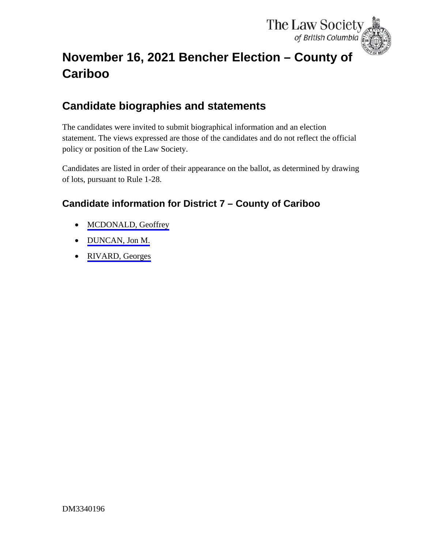

# <span id="page-0-0"></span>**November 16, 2021 Bencher Election – County of Cariboo**

# **Candidate biographies and statements**

The candidates were invited to submit biographical information and an election statement. The views expressed are those of the candidates and do not reflect the official policy or position of the Law Society.

Candidates are listed in order of their appearance on the ballot, as determined by drawing of lots, pursuant to Rule 1-28.

## **Candidate information for District 7 – County of Cariboo**

- [MCDONALD, Geoffrey](#page-1-0)
- [DUNCAN, Jon M.](#page-2-0)
- [RIVARD, Georges](#page-4-0)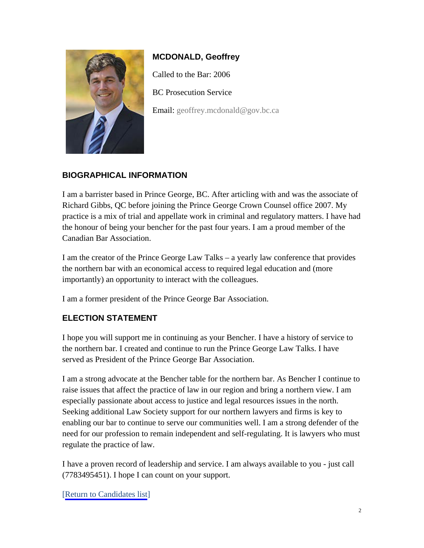<span id="page-1-0"></span>

### **MCDONALD, Geoffrey**

Called to the Bar: 2006

BC Prosecution Service

Email: [geoffrey.mcdonald@gov.bc.ca](mailto:geoffrey.mcdonald@gov.bc.ca)

#### **BIOGRAPHICAL INFORMATION**

I am a barrister based in Prince George, BC. After articling with and was the associate of Richard Gibbs, QC before joining the Prince George Crown Counsel office 2007. My practice is a mix of trial and appellate work in criminal and regulatory matters. I have had the honour of being your bencher for the past four years. I am a proud member of the Canadian Bar Association.

I am the creator of the Prince George Law Talks – a yearly law conference that provides the northern bar with an economical access to required legal education and (more importantly) an opportunity to interact with the colleagues.

I am a former president of the Prince George Bar Association.

#### **ELECTION STATEMENT**

I hope you will support me in continuing as your Bencher. I have a history of service to the northern bar. I created and continue to run the Prince George Law Talks. I have served as President of the Prince George Bar Association.

I am a strong advocate at the Bencher table for the northern bar. As Bencher I continue to raise issues that affect the practice of law in our region and bring a northern view. I am especially passionate about access to justice and legal resources issues in the north. Seeking additional Law Society support for our northern lawyers and firms is key to enabling our bar to continue to serve our communities well. I am a strong defender of the need for our profession to remain independent and self-regulating. It is lawyers who must regulate the practice of law.

I have a proven record of leadership and service. I am always available to you - just call (7783495451). I hope I can count on your support.

[[Return to Candidates list](#page-0-0)]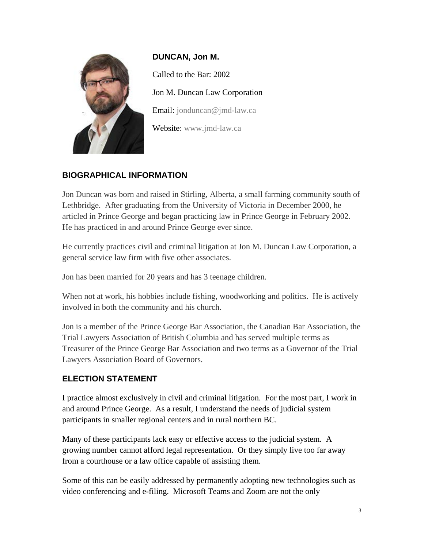<span id="page-2-0"></span>

**DUNCAN, Jon M.** Called to the Bar: 2002 Jon M. Duncan Law Corporation Email: [jonduncan@jmd-law.ca](mailto:jonduncan@jmd-law.ca) Website: [www.jmd-law.ca](https://jmd-law.ca/lawyer/)

#### **BIOGRAPHICAL INFORMATION**

Jon Duncan was born and raised in Stirling, Alberta, a small farming community south of Lethbridge. After graduating from the University of Victoria in December 2000, he articled in Prince George and began practicing law in Prince George in February 2002. He has practiced in and around Prince George ever since.

He currently practices civil and criminal litigation at Jon M. Duncan Law Corporation, a general service law firm with five other associates.

Jon has been married for 20 years and has 3 teenage children.

When not at work, his hobbies include fishing, woodworking and politics. He is actively involved in both the community and his church.

Jon is a member of the Prince George Bar Association, the Canadian Bar Association, the Trial Lawyers Association of British Columbia and has served multiple terms as Treasurer of the Prince George Bar Association and two terms as a Governor of the Trial Lawyers Association Board of Governors.

#### **ELECTION STATEMENT**

I practice almost exclusively in civil and criminal litigation. For the most part, I work in and around Prince George. As a result, I understand the needs of judicial system participants in smaller regional centers and in rural northern BC.

Many of these participants lack easy or effective access to the judicial system. A growing number cannot afford legal representation. Or they simply live too far away from a courthouse or a law office capable of assisting them.

Some of this can be easily addressed by permanently adopting new technologies such as video conferencing and e-filing. Microsoft Teams and Zoom are not the only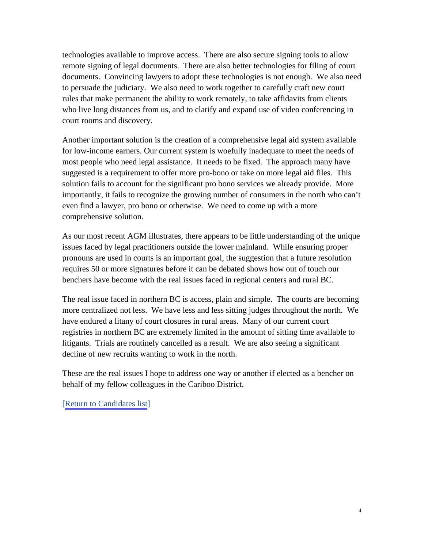technologies available to improve access. There are also secure signing tools to allow remote signing of legal documents. There are also better technologies for filing of court documents. Convincing lawyers to adopt these technologies is not enough. We also need to persuade the judiciary. We also need to work together to carefully craft new court rules that make permanent the ability to work remotely, to take affidavits from clients who live long distances from us, and to clarify and expand use of video conferencing in court rooms and discovery.

Another important solution is the creation of a comprehensive legal aid system available for low-income earners. Our current system is woefully inadequate to meet the needs of most people who need legal assistance. It needs to be fixed. The approach many have suggested is a requirement to offer more pro-bono or take on more legal aid files. This solution fails to account for the significant pro bono services we already provide. More importantly, it fails to recognize the growing number of consumers in the north who can't even find a lawyer, pro bono or otherwise. We need to come up with a more comprehensive solution.

As our most recent AGM illustrates, there appears to be little understanding of the unique issues faced by legal practitioners outside the lower mainland. While ensuring proper pronouns are used in courts is an important goal, the suggestion that a future resolution requires 50 or more signatures before it can be debated shows how out of touch our benchers have become with the real issues faced in regional centers and rural BC.

The real issue faced in northern BC is access, plain and simple. The courts are becoming more centralized not less. We have less and less sitting judges throughout the north. We have endured a litany of court closures in rural areas. Many of our current court registries in northern BC are extremely limited in the amount of sitting time available to litigants. Trials are routinely cancelled as a result. We are also seeing a significant decline of new recruits wanting to work in the north.

These are the real issues I hope to address one way or another if elected as a bencher on behalf of my fellow colleagues in the Cariboo District.

[[Return to Candidates list](#page-0-0)]